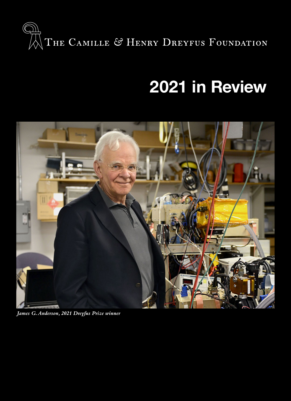

# **2021 in Review**



*James G. Anderson, 2021 Dreyfus Prize winner*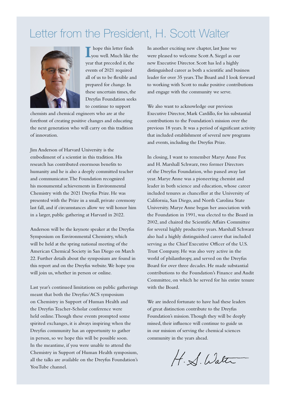## Letter from the President, H. Scott Walter



**I** hope this letter finds you well. Much like the year that preceded it, the events of 2021 required all of us to be flexible and prepared for change. In these uncertain times, the Dreyfus Foundation seeks to continue to support

chemists and chemical engineers who are at the forefront of creating positive changes and educating the next generation who will carry on this tradition of innovation.

Jim Anderson of Harvard University is the embodiment of a scientist in this tradition. His research has contributed enormous benefits to humanity and he is also a deeply committed teacher and communicator. The Foundation recognized his monumental achievements in Environmental Chemistry with the 2021 Dreyfus Prize. He was presented with the Prize in a small, private ceremony last fall, and if circumstances allow we will honor him in a larger, public gathering at Harvard in 2022.

Anderson will be the keynote speaker at the Dreyfus Symposium on Environmental Chemistry, which will be held at the spring national meeting of the American Chemical Society in San Diego on March 22. Further details about the symposium are found in this report and on the Dreyfus website. We hope you will join us, whether in person or online.

Last year's continued limitations on public gatherings meant that both the Dreyfus/ACS symposium on Chemistry in Support of Human Health and the Dreyfus Teacher-Scholar conference were held online. Though these events prompted some spirited exchanges, it is always inspiring when the Dreyfus community has an opportunity to gather in person, so we hope this will be possible soon. In the meantime, if you were unable to attend the Chemistry in Support of Human Health symposium, all the talks are available on the Dreyfus Foundation's YouTube channel.

In another exciting new chapter, last June we were pleased to welcome Scott A. Siegel as our new Executive Director. Scott has led a highly distinguished career as both a scientific and business leader for over 35 years. The Board and I look forward to working with Scott to make positive contributions and engage with the community we serve.

We also want to acknowledge our previous Executive Director, Mark Cardillo, for his substantial contributions to the Foundation's mission over the previous 18 years. It was a period of significant activity that included establishment of several new programs and events, including the Dreyfus Prize.

In closing, I want to remember Marye Anne Fox and H. Marshall Schwarz, two former Directors of the Dreyfus Foundation, who passed away last year. Marye Anne was a pioneering chemist and leader in both science and education, whose career included tenures as chancellor at the University of California, San Diego, and North Carolina State University. Marye Anne began her association with the Foundation in 1991, was elected to the Board in 2002, and chaired the Scientific Affairs Committee for several highly productive years. Marshall Schwarz also had a highly distinguished career that included serving as the Chief Executive Officer of the U.S. Trust Company. He was also very active in the world of philanthropy, and served on the Dreyfus Board for over three decades. He made substantial contributions to the Foundation's Finance and Audit Committee, on which he served for his entire tenure with the Board.

We are indeed fortunate to have had these leaders of great distinction contribute to the Dreyfus Foundation's mission. Though they will be deeply missed, their influence will continue to guide us in our mission of serving the chemical sciences community in the years ahead.

H. S. Walter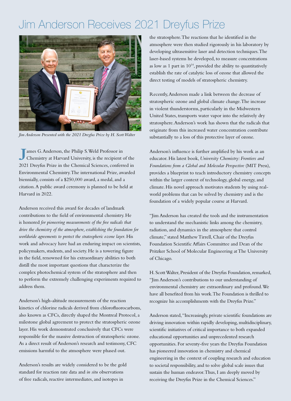# Jim Anderson Receives 2021 Dreyfus Prize



*Jim Anderson Presented with the 2021 Dreyfus Prize by H. Scott Walter*

**J**ames G. Anderson, the Philip S. Weld Professor in Chemistry at Harvard University, is the recipient of the 2021 Dreyfus Prize in the Chemical Sciences, conferred in Environmental Chemistry. The international Prize, awarded biennially, consists of a \$250,000 award, a medal, and a citation. A public award ceremony is planned to be held at Harvard in 2022.

Anderson received this award for decades of landmark contributions to the field of environmental chemistry. He is honored *for pioneering measurements of the free radicals that drive the chemistry of the atmosphere, establishing the foundation for worldwide agreements to protect the stratospheric ozone layer*. His work and advocacy have had an enduring impact on scientists, policymakers, students, and society. He is a towering figure in the field, renowned for his extraordinary abilities to both distill the most important questions that characterize the complex photochemical system of the stratosphere and then to perform the extremely challenging experiments required to address them.

Anderson's high-altitude measurements of the reaction kinetics of chlorine radicals derived from chlorofluorocarbons, also known as CFCs, directly shaped the Montreal Protocol, a milestone global agreement to protect the stratospheric ozone layer. His work demonstrated conclusively that CFCs were responsible for the massive destruction of stratospheric ozone. As a direct result of Anderson's research and testimony, CFC emissions harmful to the atmosphere were phased out.

Anderson's results are widely considered to be the gold standard for reaction rate data and *in situ* observations of free radicals, reactive intermediates, and isotopes in

the stratosphere. The reactions that he identified in the atmosphere were then studied rigorously in his laboratory by developing ultrasensitive laser and detection techniques. The laser-based systems he developed, to measure concentrations as low as 1 part in  $10^{14}$ , provided the ability to quantitatively establish the rate of catalytic loss of ozone that allowed the direct testing of models of stratospheric chemistry.

Recently, Anderson made a link between the decrease of stratospheric ozone and global climate change. The increase in violent thunderstorms, particularly in the Midwestern United States, transports water vapor into the relatively dry stratosphere. Anderson's work has shown that the radicals that originate from this increased water concentration contribute substantially to a loss of this protective layer of ozone.

Anderson's influence is further amplified by his work as an educator. His latest book, *University Chemistry: Frontiers and Foundations from a Global and Molecular Perspective* (MIT Press), provides a blueprint to teach introductory chemistry concepts within the larger context of technology, global energy, and climate. His novel approach motivates students by using realworld problems that can be solved by chemistry and is the foundation of a widely popular course at Harvard.

"Jim Anderson has created the tools and the instrumentation to understand the mechanistic links among the chemistry, radiation, and dynamics in the atmosphere that control climate," stated Matthew Tirrell, Chair of the Dreyfus Foundation Scientific Affairs Committee and Dean of the Pritzker School of Molecular Engineering at The University of Chicago.

H. Scott Walter, President of the Dreyfus Foundation, remarked, "Jim Anderson's contributions to our understanding of environmental chemistry are extraordinary and profound. We have all benefited from his work. The Foundation is thrilled to recognize his accomplishments with the Dreyfus Prize."

Anderson stated, "Increasingly, private scientific foundations are driving innovation within rapidly developing, multidisciplinary, scientific initiatives of critical importance to both expanded educational opportunities and unprecedented research opportunities. For seventy-five years the Dreyfus Foundation has pioneered innovation in chemistry and chemical engineering in the context of coupling research and education to societal responsibility, and to solve global scale issues that sustain the human endeavor. Thus, I am deeply moved by receiving the Dreyfus Prize in the Chemical Sciences."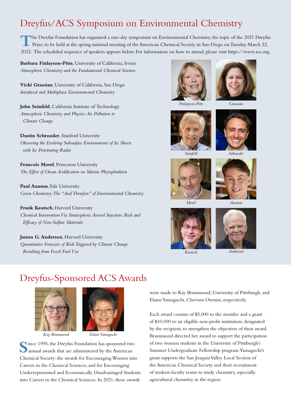### Dreyfus/ACS Symposium on Environmental Chemistry

The Dreyfus Foundation has organized a one-day symposium on Environmental Chemistry, the topic of the 2021 Dreyfus<br>Prize, to be held at the spring national meeting of the American Chemical Society in San Diego on Tuesday, 2022. The scheduled sequence of speakers appears below. For information on how to attend, please visit https://www.acs.org.

**Barbara Finlayson-Pitts**, University of California, Irvine *Atmospheric Chemistry and the Fundamental Chemical Sciences*

**Vicki Grassian**, University of California, San Diego *Interfacial and Multiphase Environmental Chemistry* 

**John Seinfeld**, California Institute of Technology *Atmospheric Chemistry and Physics: Air Pollution to Climate Change*

**Dustin Schroeder**, Stanford University *Observing the Evolving Subsurface Environments of Ice Sheets with Ice Penetrating Radar*

**Francois Morel**, Princeton University *The Effect of Ocean Acidification on Marine Phytoplankton* 

**Paul Anastas**, Yale University *Green Chemistry: The "And Therefore" of Environmental Chemistry*

**Frank Keutsch**, Harvard University *Chemical Intervention Via Stratospheric Aerosol Injection: Risk and Efficacy of Non-Sulfate Materials*

**James G. Anderson**, Harvard University *Quantitative Forecasts of Risk Triggered by Climate Change Resulting from Fossil Fuel Use* 





*Finlayson-Pitts*

*Grassian*









*Morel*





*Keutsch Anderson*

### Dreyfus-Sponsored ACS Awards





*Kay Brummond Elaine Yamaguchi*

**S**ince 1995, the Dreyfus Foundation has sponsored two annual awards that are administered by the American Chemical Society: the awards for Encouraging Women into Careers in the Chemical Sciences, and for Encouraging Underrepresented and Economically Disadvantaged Students into Careers in the Chemical Sciences. In 2021, these awards

were made to Kay Brummond, University of Pittsburgh, and Elaine Yamaguchi, Chevron Oronite, respectively.

Each award consists of \$5,000 to the awardee and a grant of \$10,000 to an eligible non-profit institution, designated by the recipient, to strengthen the objectives of their award. Brummond directed her award to support the participation of two women students in the University of Pittsburgh's Summer Undergraduate Fellowship program. Yamaguchi's grant supports the San Joaquin Valley Local Section of the American Chemical Society and their recruitment of student-faculty teams to study chemistry, especially agricultural chemistry, in the region.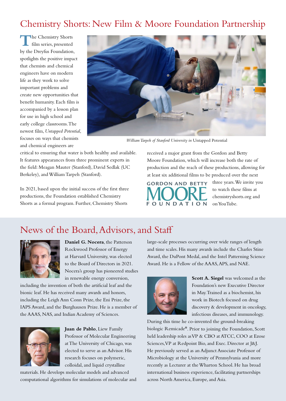### Chemistry Shorts: New Film & Moore Foundation Partnership

**T**he Chemistry Shorts film series, presented by the Dreyfus Foundation, spotlights the positive impact that chemists and chemical engineers have on modern life as they work to solve important problems and create new opportunities that benefit humanity. Each film is accompanied by a lesson plan for use in high school and early college classrooms. The newest film, *Untapped Potential*, focuses on ways that chemists and chemical engineers are



*William Tarpeh of Stanford University in* Untapped Potential

critical to ensuring that water is both healthy and available. It features appearances from three prominent experts in the field: Meagan Mauter (Stanford), David Sedlak (UC Berkeley), and William Tarpeh (Stanford).

In 2021, based upon the initial success of the first three productions, the Foundation established Chemistry Shorts as a formal program. Further, Chemistry Shorts

received a major grant from the Gordon and Betty Moore Foundation, which will increase both the rate of production and the reach of these productions, allowing for at least six additional films to be produced over the next

**GORDON AND BETTY FOUNDATION** 

three years. We invite you to watch these films at chemistryshorts.org and on YouTube.

### News of the Board, Advisors, and Staff



**Daniel G. Nocera**, the Patterson Rockwood Professor of Energy at Harvard University, was elected to the Board of Directors in 2021. Nocera's group has pioneered studies in renewable energy conversion,

including the invention of both the artificial leaf and the bionic leaf. He has received many awards and honors, including the Leigh Ann Conn Prize, the Eni Prize, the IAPS Award, and the Burghausen Prize. He is a member of the AAAS, NAS, and Indian Academy of Sciences.



**Juan de Pablo**, Liew Family Professor of Molecular Engineering at The University of Chicago, was elected to serve as an Advisor. His research focuses on polymeric, colloidal, and liquid crystalline

materials. He develops molecular models and advanced computational algorithms for simulations of molecular and large-scale processes occurring over wide ranges of length and time scales. His many awards include the Charles Stine Award, the DuPont Medal, and the Intel Patterning Science Award. He is a Fellow of the AAAS, APS, and NAE.



**Scott A. Siegel** was welcomed as the Foundation's new Executive Director in May. Trained as a biochemist, his work in Biotech focused on drug discovery & development in oncology, infectious diseases, and immunology.

During this time he co-invented the ground-breaking biologic Remicade**®**. Prior to joining the Foundation, Scott held leadership roles as VP & CBO at ATCC, COO at Ezose Sciences, VP at Redpoint Bio, and Exec. Director at J&J. He previously served as an Adjunct Associate Professor of Microbiology at the University of Pennsylvania and more recently as Lecturer at the Wharton School. He has broad international business experience, facilitating partnerships across North America, Europe, and Asia.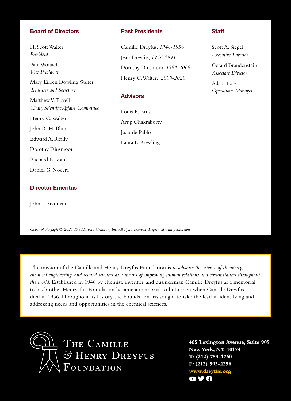#### Board of Directors

H. Scott Walter *President* Paul Woitach *Vice President* Mary Eileen Dowling Walter *Treasurer and Secretary* Matthew V. Tirrell *Chair, Scientific Affairs Committee* Henry C. Walter John R. H. Blum Edward A. Reilly Dorothy Dinsmoor Richard N. Zare Daniel G. Nocera

#### Director Emeritus

John I. Brauman

#### Past Presidents

Camille Dreyfus, *1946-1956* Jean Dreyfus, *1956-1991* Dorothy Dinsmoor, *1991-2009* Henry C. Walter, *2009-2020*

#### **Advisors**

Louis E. Brus Arup Chakraborty Juan de Pablo Laura L. Kiessling

#### **Staff**

Scott A. Siegel *Executive Director*

Gerard Brandenstein *Associate Director*

Adam Lore *Operations Manager*

*Cover photograph © 2021 The Harvard Crimson, Inc. All rights reserved. Reprinted with permission*

The mission of the Camille and Henry Dreyfus Foundation is *to advance the science of chemistry, chemical engineering, and related sciences as a means of improving human relations and circumstances throughout the world*. Established in 1946 by chemist, inventor, and businessman Camille Dreyfus as a memorial to his brother Henry, the Foundation became a memorial to both men when Camille Dreyfus died in 1956. Throughout its history the Foundation has sought to take the lead in identifying and addressing needs and opportunities in the chemical sciences.



THE CAMILLE & HENRY DREYFUS **OUNDATION** 

**405 Lexington Avenue, Suite 909 New York, NY 10174 T: (212) 753-1760 F: (212) 593-2256 www.dreyfus.org** O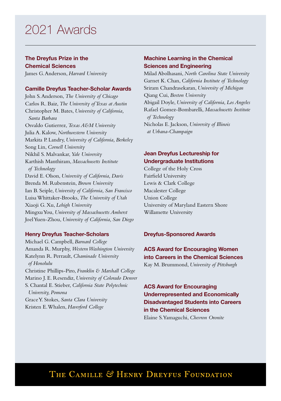# 2021 Awards

#### The Dreyfus Prize in the

Chemical Sciences James G. Anderson, *Harvard University*

#### Camille Dreyfus Teacher-Scholar Awards

John S. Anderson, *The University of Chicago* Carlos R. Baiz, *The University of Texas at Austin* Christopher M. Bates, *University of California, Santa Barbara* Osvaldo Gutierrez, *Texas A&M University* Julia A. Kalow, *Northwestern University* Markita P. Landry, *University of California, Berkeley* Song Lin, *Cornell University* Nikhil S. Malvankar, *Yale University* Karthish Manthiram, *Massachusetts Institute of Technology* David E. Olson, *University of California, Davis* Brenda M. Rubenstein, *Brown University* Ian B. Seiple, *University of California, San Francisco* Luisa Whittaker-Brooks, *The University of Utah* Xiaoji G. Xu, *Lehigh University* Mingxu You, *University of Massachusetts Amherst* Joel Yuen-Zhou, *University of California, San Diego*

#### Henry Dreyfus Teacher-Scholars

Michael G. Campbell, *Barnard College* Amanda R. Murphy, *Western Washington University* Katelynn R. Perrault, *Chaminade University of Honolulu* Christine Phillips-Piro, *Franklin & Marshall College* Marino J. E. Resendiz, *University of Colorado Denver* S. Chantal E. Stieber, *California State Polytechnic University, Pomona* Grace Y. Stokes, *Santa Clara University* Kristen E. Whalen, *Haverford College*

#### Machine Learning in the Chemical Sciences and Engineering

Milad Abolhasani, *North Carolina State University* Garnet K. Chan, *California Institute of Technology* Sriram Chandrasekaran, *University of Michigan* Qiang Cui, *Boston University* Abigail Doyle, *University of California, Los Angeles* Rafael Gomez-Bombarelli, *Massachusetts Institute of Technology* Nicholas E. Jackson, *University of Illinois at Urbana-Champaign*

#### Jean Dreyfus Lectureship for Undergraduate Institutions

College of the Holy Cross Fairfield University Lewis & Clark College Macalester College Union College University of Maryland Eastern Shore Willamette University

#### Dreyfus-Sponsored Awards

#### ACS Award for Encouraging Women into Careers in the Chemical Sciences

Kay M. Brummond, *University of Pittsburgh*

ACS Award for Encouraging Underrepresented and Economically Disadvantaged Students into Careers in the Chemical Sciences Elaine S. Yamaguchi, *Chevron Oronite*

### THE CAMILLE & HENRY DREYFUS FOUNDATION